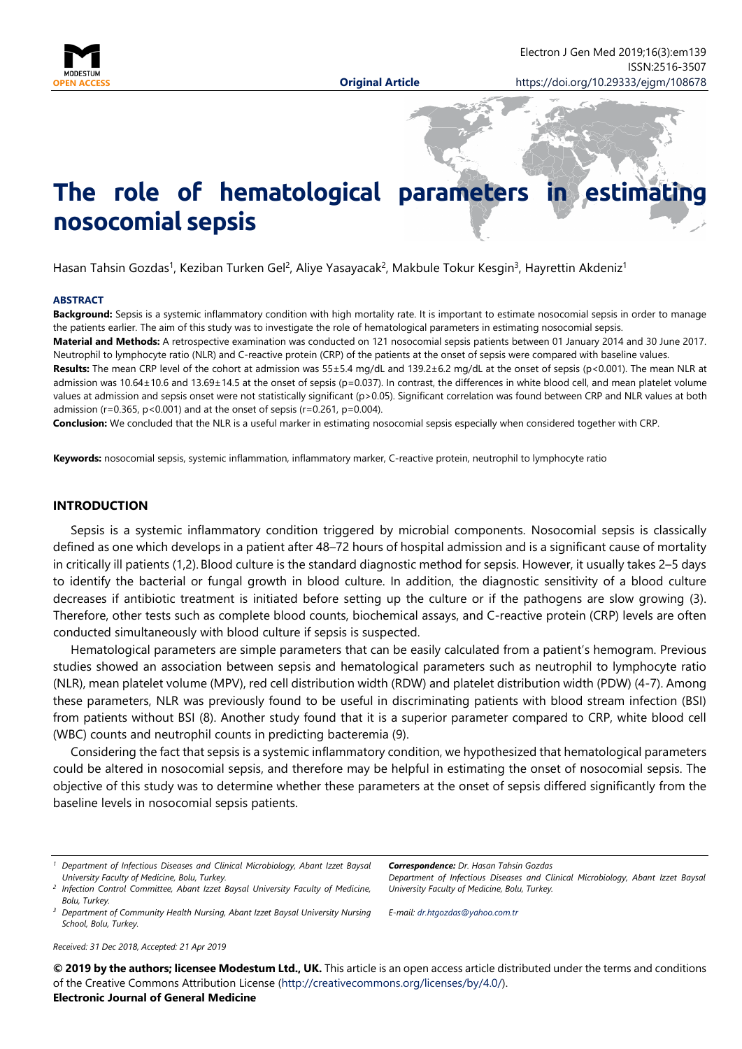

# **The role of hematological parameters in estimation nosocomial sepsis**

Hasan Tahsin Gozdas<sup>1</sup>, Keziban Turken Gel<sup>2</sup>, Aliye Yasayacak<sup>2</sup>, Makbule Tokur Kesgin<sup>3</sup>, Hayrettin Akdeniz<sup>1</sup>

#### **ABSTRACT**

**Background:** Sepsis is a systemic inflammatory condition with high mortality rate. It is important to estimate nosocomial sepsis in order to manage the patients earlier. The aim of this study was to investigate the role of hematological parameters in estimating nosocomial sepsis.

**Material and Methods:** A retrospective examination was conducted on 121 nosocomial sepsis patients between 01 January 2014 and 30 June 2017. Neutrophil to lymphocyte ratio (NLR) and C-reactive protein (CRP) of the patients at the onset of sepsis were compared with baseline values.

**Results:** The mean CRP level of the cohort at admission was 55±5.4 mg/dL and 139.2±6.2 mg/dL at the onset of sepsis (p<0.001). The mean NLR at admission was 10.64±10.6 and 13.69±14.5 at the onset of sepsis (p=0.037). In contrast, the differences in white blood cell, and mean platelet volume values at admission and sepsis onset were not statistically significant (p>0.05). Significant correlation was found between CRP and NLR values at both admission ( $r=0.365$ ,  $p < 0.001$ ) and at the onset of sepsis ( $r=0.261$ ,  $p=0.004$ ).

**Conclusion:** We concluded that the NLR is a useful marker in estimating nosocomial sepsis especially when considered together with CRP.

**Keywords:** nosocomial sepsis, systemic inflammation, inflammatory marker, C-reactive protein, neutrophil to lymphocyte ratio

#### **INTRODUCTION**

Sepsis is a systemic inflammatory condition triggered by microbial components. Nosocomial sepsis is classically defined as one which develops in a patient after 48–72 hours of hospital admission and is a significant cause of mortality in critically ill patients (1,2). Blood culture is the standard diagnostic method for sepsis. However, it usually takes 2–5 days to identify the bacterial or fungal growth in blood culture. In addition, the diagnostic sensitivity of a blood culture decreases if antibiotic treatment is initiated before setting up the culture or if the pathogens are slow growing (3). Therefore, other tests such as complete blood counts, biochemical assays, and C-reactive protein (CRP) levels are often conducted simultaneously with blood culture if sepsis is suspected.

Hematological parameters are simple parameters that can be easily calculated from a patient's hemogram. Previous studies showed an association between sepsis and hematological parameters such as neutrophil to lymphocyte ratio (NLR), mean platelet volume (MPV), red cell distribution width (RDW) and platelet distribution width (PDW) (4-7). Among these parameters, NLR was previously found to be useful in discriminating patients with blood stream infection (BSI) from patients without BSI (8). Another study found that it is a superior parameter compared to CRP, white blood cell (WBC) counts and neutrophil counts in predicting bacteremia (9).

Considering the fact that sepsis is a systemic inflammatory condition, we hypothesized that hematological parameters could be altered in nosocomial sepsis, and therefore may be helpful in estimating the onset of nosocomial sepsis. The objective of this study was to determine whether these parameters at the onset of sepsis differed significantly from the baseline levels in nosocomial sepsis patients.

*<sup>3</sup> Department of Community Health Nursing, Abant Izzet Baysal University Nursing School, Bolu, Turkey.*

*Correspondence: Dr. Hasan Tahsin Gozdas*

*Department of Infectious Diseases and Clinical Microbiology, Abant Izzet Baysal University Faculty of Medicine, Bolu, Turkey.*

*E-mail: [dr.htgozdas@yahoo.com.tr](mailto:dr.htgozdas@yahoo.com.tr)*

*Received: 31 Dec 2018, Accepted: 21 Apr 2019*

**© 2019 by the authors; licensee Modestum Ltd., UK.** This article is an open access article distributed under the terms and conditions of the Creative Commons Attribution License [\(http://creativecommons.org/licenses/by/4.0/\)](http://creativecommons.org/licenses/by/4.0/). **Electronic Journal of General Medicine**

*<sup>1</sup> Department of Infectious Diseases and Clinical Microbiology, Abant Izzet Baysal University Faculty of Medicine, Bolu, Turkey.*

*<sup>2</sup> Infection Control Committee, Abant Izzet Baysal University Faculty of Medicine, Bolu, Turkey.*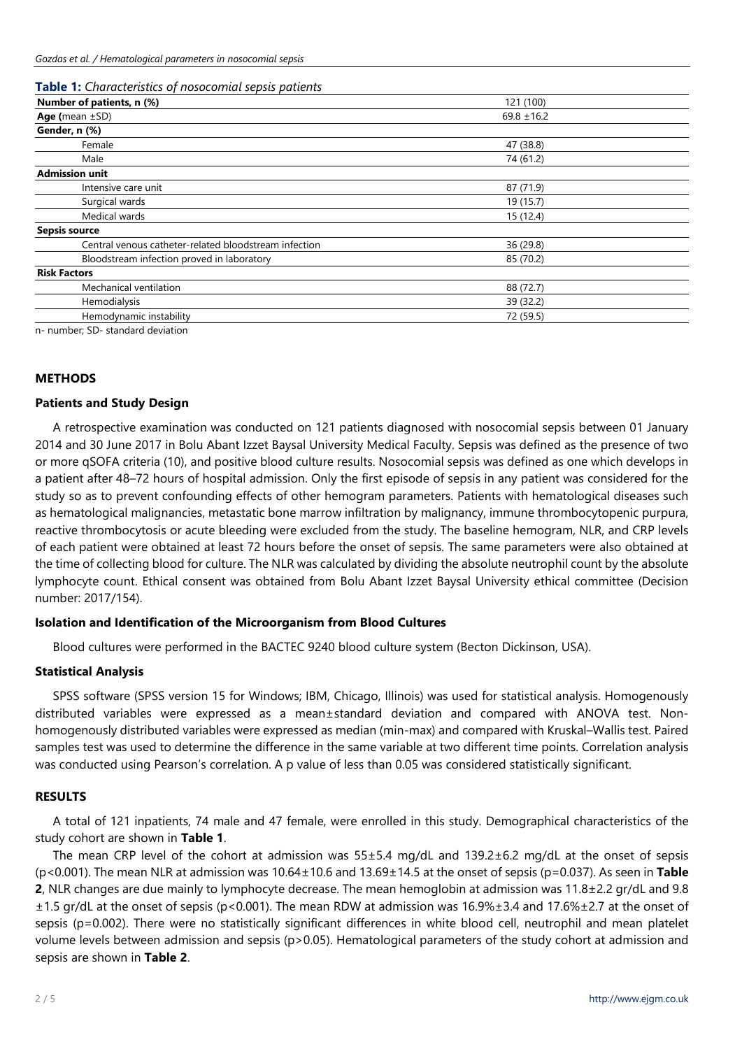### **Table 1:** *Characteristics of nosocomial sepsis patients*

| <b>Table 1:</b> Characteristics of hosoconnal sepsis patterns |                 |  |
|---------------------------------------------------------------|-----------------|--|
| Number of patients, n (%)                                     | 121 (100)       |  |
| Age (mean $\pm$ SD)                                           | $69.8 \pm 16.2$ |  |
| Gender, n (%)                                                 |                 |  |
| Female                                                        | 47 (38.8)       |  |
| Male                                                          | 74 (61.2)       |  |
| <b>Admission unit</b>                                         |                 |  |
| Intensive care unit                                           | 87 (71.9)       |  |
| Surgical wards                                                | 19 (15.7)       |  |
| Medical wards                                                 | 15 (12.4)       |  |
| <b>Sepsis source</b>                                          |                 |  |
| Central venous catheter-related bloodstream infection         | 36 (29.8)       |  |
| Bloodstream infection proved in laboratory                    | 85 (70.2)       |  |
| <b>Risk Factors</b>                                           |                 |  |
| Mechanical ventilation                                        | 88 (72.7)       |  |
| Hemodialysis                                                  | 39 (32.2)       |  |
| Hemodynamic instability                                       | 72 (59.5)       |  |
|                                                               |                 |  |

n- number; SD- standard deviation

#### **METHODS**

#### **Patients and Study Design**

A retrospective examination was conducted on 121 patients diagnosed with nosocomial sepsis between 01 January 2014 and 30 June 2017 in Bolu Abant Izzet Baysal University Medical Faculty. Sepsis was defined as the presence of two or more qSOFA criteria (10), and positive blood culture results. Nosocomial sepsis was defined as one which develops in a patient after 48–72 hours of hospital admission. Only the first episode of sepsis in any patient was considered for the study so as to prevent confounding effects of other hemogram parameters. Patients with hematological diseases such as hematological malignancies, metastatic bone marrow infiltration by malignancy, immune thrombocytopenic purpura, reactive thrombocytosis or acute bleeding were excluded from the study. The baseline hemogram, NLR, and CRP levels of each patient were obtained at least 72 hours before the onset of sepsis. The same parameters were also obtained at the time of collecting blood for culture. The NLR was calculated by dividing the absolute neutrophil count by the absolute lymphocyte count. Ethical consent was obtained from Bolu Abant Izzet Baysal University ethical committee (Decision number: 2017/154).

#### **Isolation and Identification of the Microorganism from Blood Cultures**

Blood cultures were performed in the BACTEC 9240 blood culture system (Becton Dickinson, USA).

#### **Statistical Analysis**

SPSS software (SPSS version 15 for Windows; IBM, Chicago, Illinois) was used for statistical analysis. Homogenously distributed variables were expressed as a mean±standard deviation and compared with ANOVA test. Nonhomogenously distributed variables were expressed as median (min-max) and compared with Kruskal–Wallis test. Paired samples test was used to determine the difference in the same variable at two different time points. Correlation analysis was conducted using Pearson's correlation. A p value of less than 0.05 was considered statistically significant.

## **RESULTS**

A total of 121 inpatients, 74 male and 47 female, were enrolled in this study. Demographical characteristics of the study cohort are shown in **Table 1**.

The mean CRP level of the cohort at admission was 55±5.4 mg/dL and 139.2±6.2 mg/dL at the onset of sepsis (p<0.001). The mean NLR at admission was 10.64±10.6 and 13.69±14.5 at the onset of sepsis (p=0.037). As seen in **Table 2**, NLR changes are due mainly to lymphocyte decrease. The mean hemoglobin at admission was 11.8±2.2 gr/dL and 9.8 ±1.5 gr/dL at the onset of sepsis (p<0.001). The mean RDW at admission was 16.9%±3.4 and 17.6%±2.7 at the onset of sepsis (p=0.002). There were no statistically significant differences in white blood cell, neutrophil and mean platelet volume levels between admission and sepsis (p>0.05). Hematological parameters of the study cohort at admission and sepsis are shown in **Table 2**.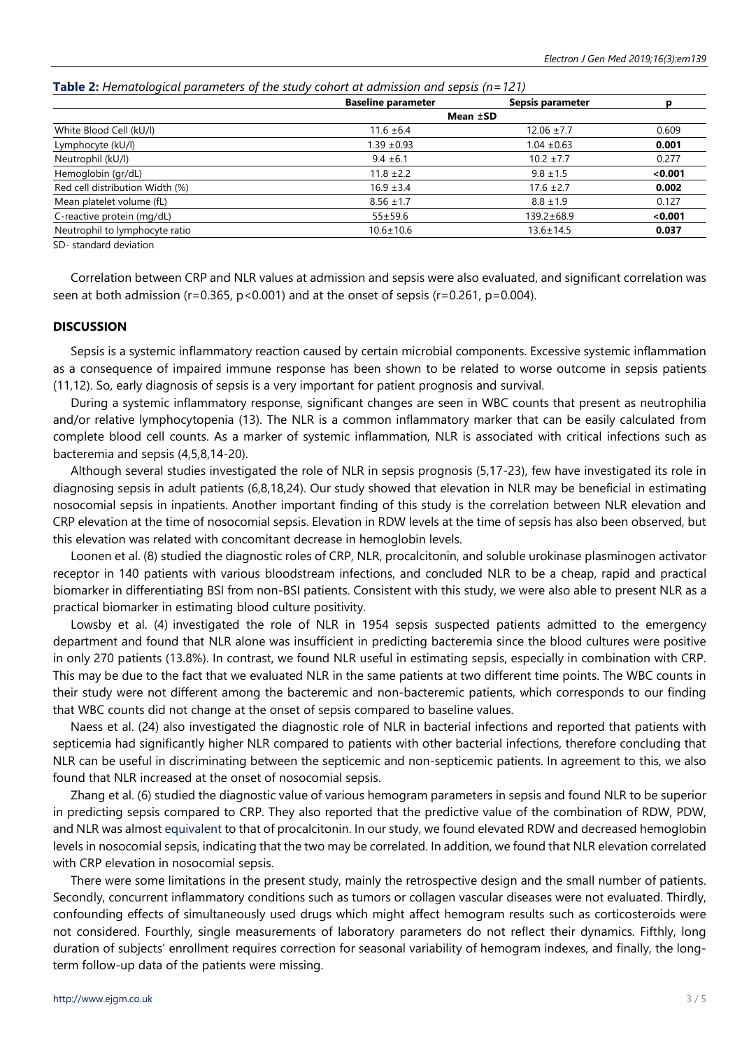| <b>Table 2:</b> Hematological parameters of the study cohort at admission and sepsis ( $n = 121$ ) |  |
|----------------------------------------------------------------------------------------------------|--|
|----------------------------------------------------------------------------------------------------|--|

|                                 | <b>Baseline parameter</b> | Sepsis parameter |         |
|---------------------------------|---------------------------|------------------|---------|
|                                 | Mean ±SD                  |                  |         |
| White Blood Cell (kU/l)         | $11.6 \pm 6.4$            | $12.06 \pm 7.7$  | 0.609   |
| Lymphocyte (kU/l)               | $1.39 \pm 0.93$           | $1.04 \pm 0.63$  | 0.001   |
| Neutrophil (kU/l)               | $9.4 \pm 6.1$             | $10.2 \pm 7.7$   | 0.277   |
| Hemoglobin (gr/dL)              | $11.8 \pm 2.2$            | $9.8 \pm 1.5$    | < 0.001 |
| Red cell distribution Width (%) | $16.9 \pm 3.4$            | $17.6 \pm 2.7$   | 0.002   |
| Mean platelet volume (fL)       | $8.56 \pm 1.7$            | $8.8 \pm 1.9$    | 0.127   |
| C-reactive protein (mg/dL)      | $55 \pm 59.6$             | 139.2±68.9       | < 0.001 |
| Neutrophil to lymphocyte ratio  | $10.6 \pm 10.6$           | 13.6±14.5        | 0.037   |
| $CD$ at and and doubtion        |                           |                  |         |

SD- standard deviation

Correlation between CRP and NLR values at admission and sepsis were also evaluated, and significant correlation was seen at both admission ( $r=0.365$ ,  $p<0.001$ ) and at the onset of sepsis ( $r=0.261$ ,  $p=0.004$ ).

#### **DISCUSSION**

Sepsis is a systemic inflammatory reaction caused by certain microbial components. Excessive systemic inflammation as a consequence of impaired immune response has been shown to be related to worse outcome in sepsis patients (11,12). So, early diagnosis of sepsis is a very important for patient prognosis and survival.

During a systemic inflammatory response, significant changes are seen in WBC counts that present as neutrophilia and/or relative lymphocytopenia (13). The NLR is a common inflammatory marker that can be easily calculated from complete blood cell counts. As a marker of systemic inflammation, NLR is associated with critical infections such as bacteremia and sepsis (4,5,8,14-20).

Although several studies investigated the role of NLR in sepsis prognosis (5,17-23), few have investigated its role in diagnosing sepsis in adult patients (6,8,18,24). Our study showed that elevation in NLR may be beneficial in estimating nosocomial sepsis in inpatients. Another important finding of this study is the correlation between NLR elevation and CRP elevation at the time of nosocomial sepsis. Elevation in RDW levels at the time of sepsis has also been observed, but this elevation was related with concomitant decrease in hemoglobin levels.

Loonen et al. (8) studied the diagnostic roles of CRP, NLR, procalcitonin, and soluble urokinase plasminogen activator receptor in 140 patients with various bloodstream infections, and concluded NLR to be a cheap, rapid and practical biomarker in differentiating BSI from non-BSI patients. Consistent with this study, we were also able to present NLR as a practical biomarker in estimating blood culture positivity.

Lowsby et al. (4) investigated the role of NLR in 1954 sepsis suspected patients admitted to the emergency department and found that NLR alone was insufficient in predicting bacteremia since the blood cultures were positive in only 270 patients (13.8%). In contrast, we found NLR useful in estimating sepsis, especially in combination with CRP. This may be due to the fact that we evaluated NLR in the same patients at two different time points. The WBC counts in their study were not different among the bacteremic and non-bacteremic patients, which corresponds to our finding that WBC counts did not change at the onset of sepsis compared to baseline values.

Naess et al. (24) also investigated the diagnostic role of NLR in bacterial infections and reported that patients with septicemia had significantly higher NLR compared to patients with other bacterial infections, therefore concluding that NLR can be useful in discriminating between the septicemic and non-septicemic patients. In agreement to this, we also found that NLR increased at the onset of nosocomial sepsis.

Zhang et al. (6) studied the diagnostic value of various hemogram parameters in sepsis and found NLR to be superior in predicting sepsis compared to CRP. They also reported that the predictive value of the combination of RDW, PDW, and NLR was almost [equivalent](http://tureng.com/tr/turkce-ingilizce/equivalent) to that of procalcitonin. In our study, we found elevated RDW and decreased hemoglobin levels in nosocomial sepsis, indicating that the two may be correlated. In addition, we found that NLR elevation correlated with CRP elevation in nosocomial sepsis.

There were some limitations in the present study, mainly the retrospective design and the small number of patients. Secondly, concurrent inflammatory conditions such as tumors or collagen vascular diseases were not evaluated. Thirdly, confounding effects of simultaneously used drugs which might affect hemogram results such as corticosteroids were not considered. Fourthly, single measurements of laboratory parameters do not reflect their dynamics. Fifthly, long duration of subjects' enrollment requires correction for seasonal variability of hemogram indexes, and finally, the longterm follow-up data of the patients were missing.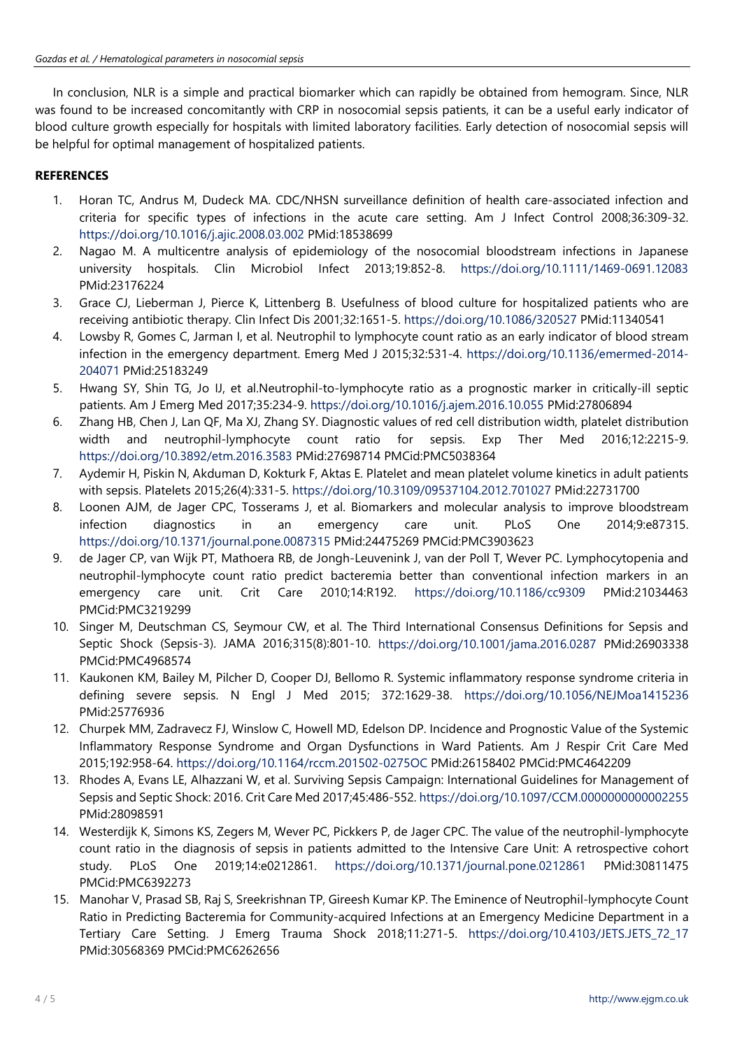In conclusion, NLR is a simple and practical biomarker which can rapidly be obtained from hemogram. Since, NLR was found to be increased concomitantly with CRP in nosocomial sepsis patients, it can be a useful early indicator of blood culture growth especially for hospitals with limited laboratory facilities. Early detection of nosocomial sepsis will be helpful for optimal management of hospitalized patients.

# **REFERENCES**

- 1. Horan TC, Andrus M, Dudeck MA. CDC/NHSN surveillance definition of health care-associated infection and criteria for specific types of infections in the acute care setting. Am J Infect Control 2008;36:309-32. <https://doi.org/10.1016/j.ajic.2008.03.002> PMid:18538699
- 2. Nagao M. A multicentre analysis of epidemiology of the nosocomial bloodstream infections in Japanese university hospitals. Clin Microbiol Infect 2013;19:852-8. <https://doi.org/10.1111/1469-0691.12083> PMid:23176224
- 3. Grace CJ, Lieberman J, Pierce K, Littenberg B. Usefulness of blood culture for hospitalized patients who are receiving antibiotic therapy. Clin Infect Dis 2001;32:1651-5. <https://doi.org/10.1086/320527> PMid:11340541
- 4. Lowsby R, Gomes C, Jarman I, et al. Neutrophil to lymphocyte count ratio as an early indicator of blood stream infection in the emergency department. Emerg Med J 2015;32:531-4. [https://doi.org/10.1136/emermed-2014-](https://doi.org/10.1136/emermed-2014-204071) [204071](https://doi.org/10.1136/emermed-2014-204071) PMid:25183249
- 5. Hwang SY, Shin TG, Jo IJ, et al.Neutrophil-to-lymphocyte ratio as a prognostic marker in critically-ill septic patients. Am J Emerg Med 2017;35:234-9. <https://doi.org/10.1016/j.ajem.2016.10.055> PMid:27806894
- 6. Zhang HB, Chen J, Lan QF, Ma XJ, Zhang SY. Diagnostic values of red cell distribution width, platelet distribution width and neutrophil-lymphocyte count ratio for sepsis. Exp Ther Med 2016;12:2215-9. <https://doi.org/10.3892/etm.2016.3583> PMid:27698714 PMCid:PMC5038364
- 7. Aydemir H, Piskin N, Akduman D, Kokturk F, Aktas E. Platelet and mean platelet volume kinetics in adult patients with sepsis. Platelets 2015;26(4):331-5. <https://doi.org/10.3109/09537104.2012.701027> PMid:22731700
- 8. Loonen AJM, de Jager CPC, Tosserams J, et al. Biomarkers and molecular analysis to improve bloodstream infection diagnostics in an emergency care unit. PLoS One 2014;9:e87315. <https://doi.org/10.1371/journal.pone.0087315> PMid:24475269 PMCid:PMC3903623
- 9. de Jager CP, van Wijk PT, Mathoera RB, de Jongh-Leuvenink J, van der Poll T, Wever PC. Lymphocytopenia and neutrophil-lymphocyte count ratio predict bacteremia better than conventional infection markers in an emergency care unit. Crit Care 2010;14:R192. <https://doi.org/10.1186/cc9309> PMid:21034463 PMCid:PMC3219299
- 10. Singer M, Deutschman CS, Seymour CW, et al. The Third International Consensus Definitions for Sepsis and Septic Shock (Sepsis-3). JAMA 2016;315(8):801-10. <https://doi.org/10.1001/jama.2016.0287> PMid:26903338 PMCid:PMC4968574
- 11. Kaukonen KM, Bailey M, Pilcher D, Cooper DJ, Bellomo R. Systemic inflammatory response syndrome criteria in defining severe sepsis. N Engl J Med 2015; 372:1629-38. <https://doi.org/10.1056/NEJMoa1415236> PMid:25776936
- 12. Churpek MM, Zadravecz FJ, Winslow C, Howell MD, Edelson DP. Incidence and Prognostic Value of the Systemic Inflammatory Response Syndrome and Organ Dysfunctions in Ward Patients. Am J Respir Crit Care Med 2015;192:958-64. <https://doi.org/10.1164/rccm.201502-0275OC> PMid:26158402 PMCid:PMC4642209
- 13. Rhodes A, Evans LE, Alhazzani W, et al. Surviving Sepsis Campaign: International Guidelines for Management of Sepsis and Septic Shock: 2016. Crit Care Med 2017;45:486-552. <https://doi.org/10.1097/CCM.0000000000002255> PMid:28098591
- 14. Westerdijk K, Simons KS, Zegers M, Wever PC, Pickkers P, de Jager CPC. The value of the neutrophil-lymphocyte count ratio in the diagnosis of sepsis in patients admitted to the Intensive Care Unit: A retrospective cohort study. PLoS One 2019;14:e0212861. <https://doi.org/10.1371/journal.pone.0212861> PMid:30811475 PMCid:PMC6392273
- 15. Manohar V, Prasad SB, Raj S, Sreekrishnan TP, Gireesh Kumar KP. The Eminence of Neutrophil-lymphocyte Count Ratio in Predicting Bacteremia for Community-acquired Infections at an Emergency Medicine Department in a Tertiary Care Setting. J Emerg Trauma Shock 2018;11:271-5. [https://doi.org/10.4103/JETS.JETS\\_72\\_17](https://doi.org/10.4103/JETS.JETS_72_17) PMid:30568369 PMCid:PMC6262656